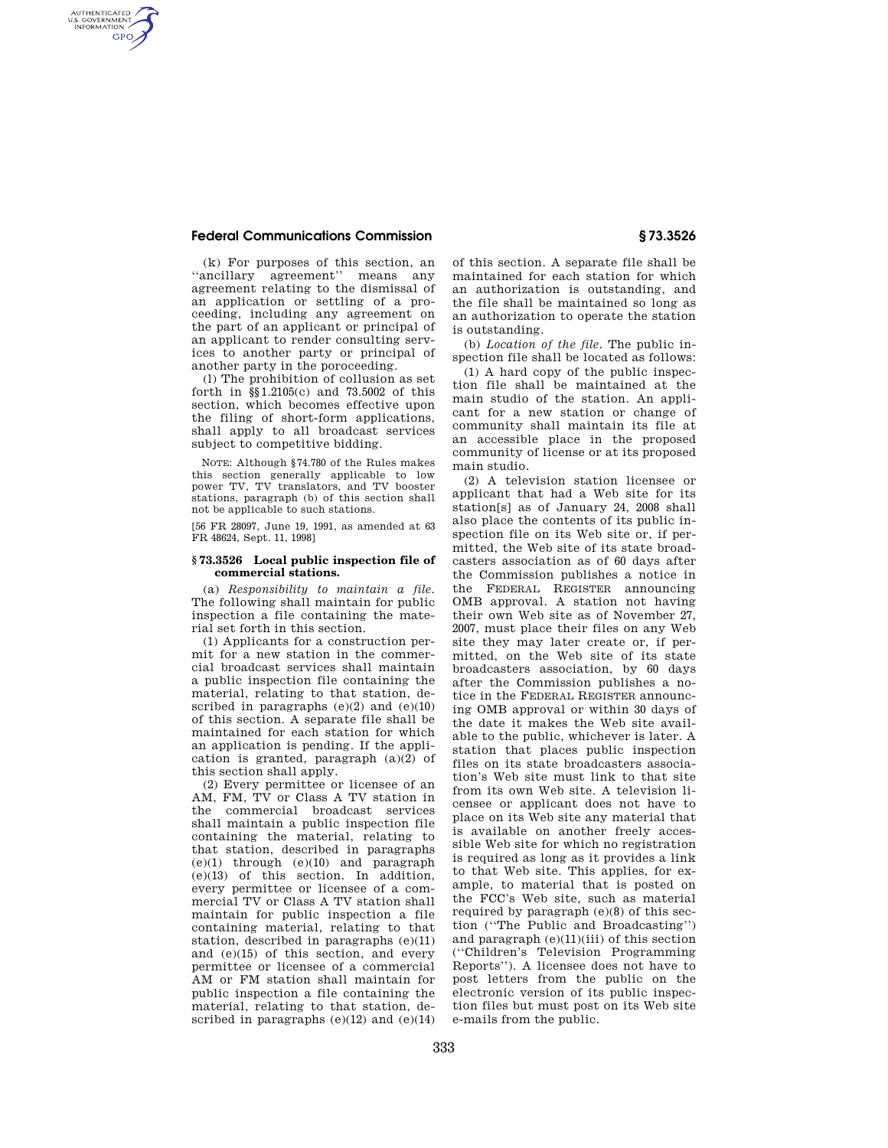## **Federal Communications Commission § 73.3526**

AUTHENTICATED<br>U.S. GOVERNMENT<br>INFORMATION **GPO** 

> (k) For purposes of this section, an ''ancillary agreement'' means any agreement relating to the dismissal of an application or settling of a proceeding, including any agreement on the part of an applicant or principal of an applicant to render consulting services to another party or principal of another party in the poroceeding.

> (l) The prohibition of collusion as set forth in §§1.2105(c) and 73.5002 of this section, which becomes effective upon the filing of short-form applications, shall apply to all broadcast services subject to competitive bidding.

> NOTE: Although §74.780 of the Rules makes this section generally applicable to low power TV, TV translators, and TV booster stations, paragraph (b) of this section shall not be applicable to such stations.

[56 FR 28097, June 19, 1991, as amended at 63 FR 48624, Sept. 11, 1998]

### **§ 73.3526 Local public inspection file of commercial stations.**

(a) *Responsibility to maintain a file.*  The following shall maintain for public inspection a file containing the material set forth in this section.

(1) Applicants for a construction permit for a new station in the commercial broadcast services shall maintain a public inspection file containing the material, relating to that station, described in paragraphs  $(e)(2)$  and  $(e)(10)$ of this section. A separate file shall be maintained for each station for which an application is pending. If the application is granted, paragraph (a)(2) of this section shall apply.

(2) Every permittee or licensee of an AM, FM, TV or Class A TV station in the commercial broadcast services shall maintain a public inspection file containing the material, relating to that station, described in paragraphs (e)(1) through (e)(10) and paragraph (e)(13) of this section. In addition, every permittee or licensee of a commercial TV or Class A TV station shall maintain for public inspection a file containing material, relating to that station, described in paragraphs (e)(11) and (e)(15) of this section, and every permittee or licensee of a commercial AM or FM station shall maintain for public inspection a file containing the material, relating to that station, described in paragraphs  $(e)(12)$  and  $(e)(14)$ 

of this section. A separate file shall be maintained for each station for which an authorization is outstanding, and the file shall be maintained so long as an authorization to operate the station is outstanding.

(b) *Location of the file*. The public inspection file shall be located as follows:

(1) A hard copy of the public inspection file shall be maintained at the main studio of the station. An applicant for a new station or change of community shall maintain its file at an accessible place in the proposed community of license or at its proposed main studio.

(2) A television station licensee or applicant that had a Web site for its station[s] as of January 24, 2008 shall also place the contents of its public inspection file on its Web site or, if permitted, the Web site of its state broadcasters association as of 60 days after the Commission publishes a notice in the FEDERAL REGISTER announcing OMB approval. A station not having their own Web site as of November 27, 2007, must place their files on any Web site they may later create or, if permitted, on the Web site of its state broadcasters association, by 60 days after the Commission publishes a notice in the FEDERAL REGISTER announcing OMB approval or within 30 days of the date it makes the Web site available to the public, whichever is later. A station that places public inspection files on its state broadcasters association's Web site must link to that site from its own Web site. A television licensee or applicant does not have to place on its Web site any material that is available on another freely accessible Web site for which no registration is required as long as it provides a link to that Web site. This applies, for example, to material that is posted on the FCC's Web site, such as material required by paragraph (e)(8) of this section (''The Public and Broadcasting'') and paragraph (e)(11)(iii) of this section (''Children's Television Programming Reports''). A licensee does not have to post letters from the public on the electronic version of its public inspection files but must post on its Web site e-mails from the public.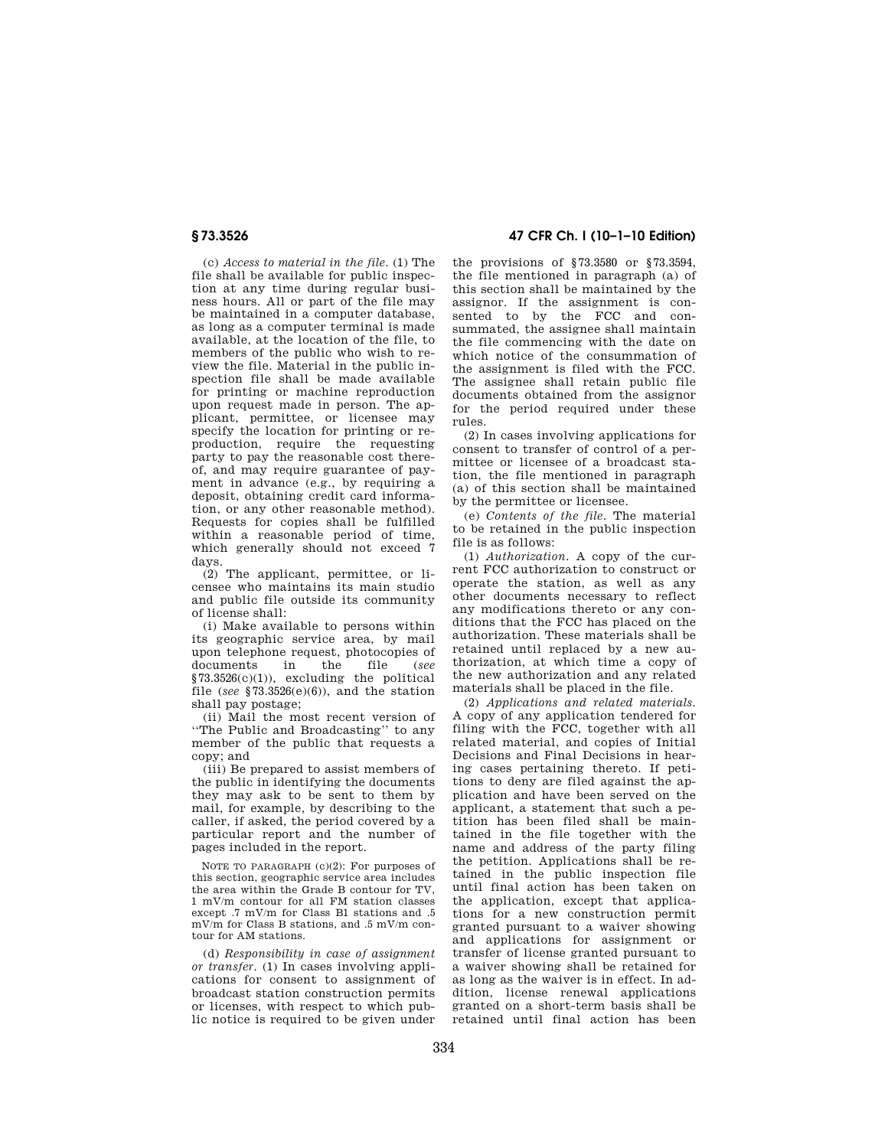(c) *Access to material in the file.* (1) The file shall be available for public inspection at any time during regular business hours. All or part of the file may be maintained in a computer database, as long as a computer terminal is made available, at the location of the file, to members of the public who wish to review the file. Material in the public inspection file shall be made available for printing or machine reproduction upon request made in person. The applicant, permittee, or licensee may specify the location for printing or reproduction, require the requesting party to pay the reasonable cost thereof, and may require guarantee of payment in advance (e.g., by requiring a deposit, obtaining credit card information, or any other reasonable method). Requests for copies shall be fulfilled within a reasonable period of time, which generally should not exceed 7 days.

(2) The applicant, permittee, or licensee who maintains its main studio and public file outside its community of license shall:

(i) Make available to persons within its geographic service area, by mail upon telephone request, photocopies of documents in the file (*see*  §73.3526(c)(1)), excluding the political file (*see* §73.3526(e)(6)), and the station shall pay postage;

(ii) Mail the most recent version of ''The Public and Broadcasting'' to any member of the public that requests a copy; and

(iii) Be prepared to assist members of the public in identifying the documents they may ask to be sent to them by mail, for example, by describing to the caller, if asked, the period covered by a particular report and the number of pages included in the report.

NOTE TO PARAGRAPH (c)(2): For purposes of this section, geographic service area includes the area within the Grade B contour for TV, 1 mV/m contour for all FM station classes except .7 mV/m for Class B1 stations and .5 mV/m for Class B stations, and .5 mV/m contour for AM stations.

(d) *Responsibility in case of assignment or transfer.* (1) In cases involving applications for consent to assignment of broadcast station construction permits or licenses, with respect to which public notice is required to be given under

**§ 73.3526 47 CFR Ch. I (10–1–10 Edition)** 

the provisions of §73.3580 or §73.3594, the file mentioned in paragraph (a) of this section shall be maintained by the assignor. If the assignment is consented to by the FCC and consummated, the assignee shall maintain the file commencing with the date on which notice of the consummation of the assignment is filed with the FCC. The assignee shall retain public file documents obtained from the assignor for the period required under these rules.

(2) In cases involving applications for consent to transfer of control of a permittee or licensee of a broadcast station, the file mentioned in paragraph (a) of this section shall be maintained by the permittee or licensee.

(e) *Contents of the file.* The material to be retained in the public inspection file is as follows:

(1) *Authorization.* A copy of the current FCC authorization to construct or operate the station, as well as any other documents necessary to reflect any modifications thereto or any conditions that the FCC has placed on the authorization. These materials shall be retained until replaced by a new authorization, at which time a copy of the new authorization and any related materials shall be placed in the file.

(2) *Applications and related materials.*  A copy of any application tendered for filing with the FCC, together with all related material, and copies of Initial Decisions and Final Decisions in hearing cases pertaining thereto. If petitions to deny are filed against the application and have been served on the applicant, a statement that such a petition has been filed shall be maintained in the file together with the name and address of the party filing the petition. Applications shall be retained in the public inspection file until final action has been taken on the application, except that applications for a new construction permit granted pursuant to a waiver showing and applications for assignment or transfer of license granted pursuant to a waiver showing shall be retained for as long as the waiver is in effect. In addition, license renewal applications granted on a short-term basis shall be retained until final action has been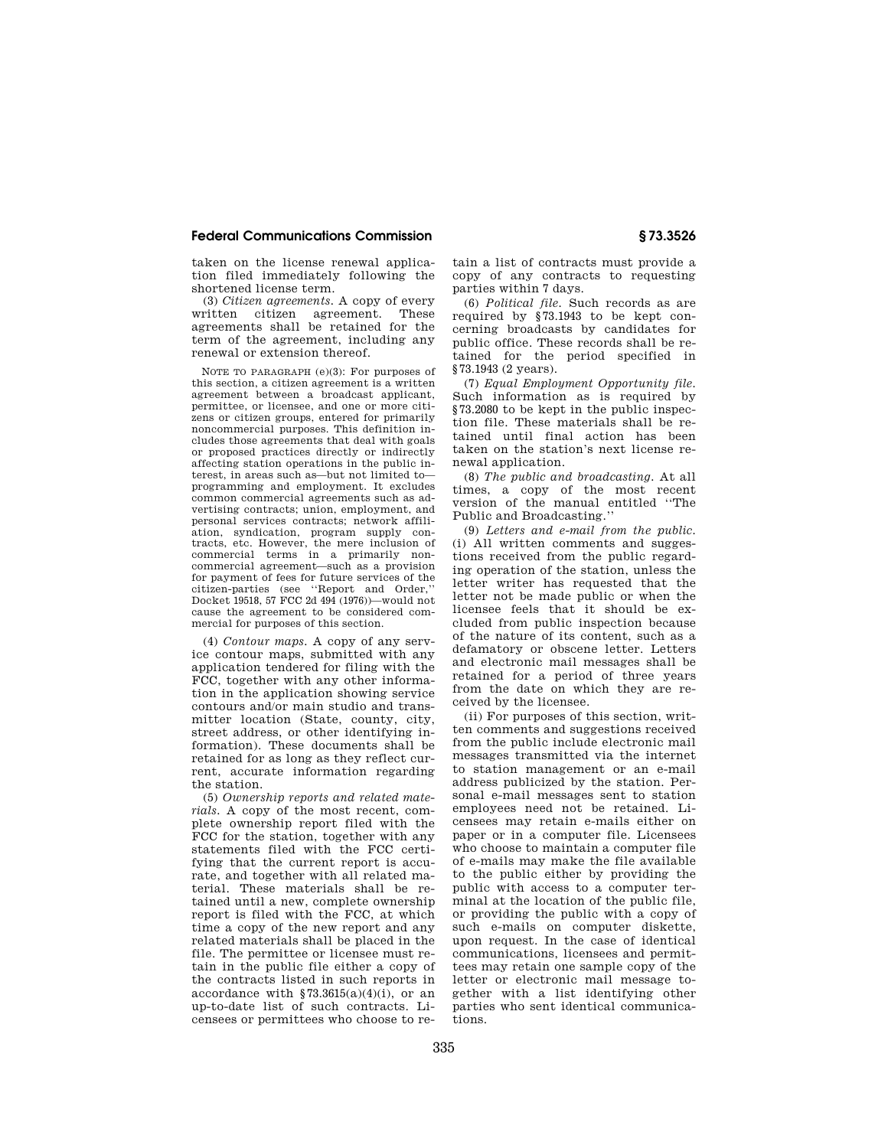### **Federal Communications Commission § 73.3526**

taken on the license renewal application filed immediately following the shortened license term.

(3) *Citizen agreements.* A copy of every written citizen agreement. These agreements shall be retained for the term of the agreement, including any renewal or extension thereof.

NOTE TO PARAGRAPH (e)(3): For purposes of this section, a citizen agreement is a written agreement between a broadcast applicant, permittee, or licensee, and one or more citizens or citizen groups, entered for primarily noncommercial purposes. This definition includes those agreements that deal with goals or proposed practices directly or indirectly affecting station operations in the public interest, in areas such as—but not limited to programming and employment. It excludes common commercial agreements such as advertising contracts; union, employment, and personal services contracts; network affiliation, syndication, program supply con-tracts, etc. However, the mere inclusion of commercial terms in a primarily noncommercial agreement—such as a provision for payment of fees for future services of the citizen-parties (see ''Report and Order,'' Docket 19518, 57 FCC 2d 494 (1976))—would not cause the agreement to be considered commercial for purposes of this section.

(4) *Contour maps.* A copy of any service contour maps, submitted with any application tendered for filing with the FCC, together with any other information in the application showing service contours and/or main studio and transmitter location (State, county, city, street address, or other identifying information). These documents shall be retained for as long as they reflect current, accurate information regarding the station.

(5) *Ownership reports and related materials.* A copy of the most recent, complete ownership report filed with the FCC for the station, together with any statements filed with the FCC certifying that the current report is accurate, and together with all related material. These materials shall be retained until a new, complete ownership report is filed with the FCC, at which time a copy of the new report and any related materials shall be placed in the file. The permittee or licensee must retain in the public file either a copy of the contracts listed in such reports in accordance with  $$73.3615(a)(4)(i)$ , or an up-to-date list of such contracts. Licensees or permittees who choose to re-

tain a list of contracts must provide a copy of any contracts to requesting parties within 7 days.

(6) *Political file.* Such records as are required by §73.1943 to be kept concerning broadcasts by candidates for public office. These records shall be retained for the period specified in §73.1943 (2 years).

(7) *Equal Employment Opportunity file.*  Such information as is required by §73.2080 to be kept in the public inspection file. These materials shall be retained until final action has been taken on the station's next license renewal application.

(8) *The public and broadcasting.* At all times, a copy of the most recent version of the manual entitled ''The Public and Broadcasting.''

(9) *Letters and e-mail from the public.*  (i) All written comments and suggestions received from the public regarding operation of the station, unless the letter writer has requested that the letter not be made public or when the licensee feels that it should be excluded from public inspection because of the nature of its content, such as a defamatory or obscene letter. Letters and electronic mail messages shall be retained for a period of three years from the date on which they are received by the licensee.

(ii) For purposes of this section, written comments and suggestions received from the public include electronic mail messages transmitted via the internet to station management or an e-mail address publicized by the station. Personal e-mail messages sent to station employees need not be retained. Licensees may retain e-mails either on paper or in a computer file. Licensees who choose to maintain a computer file of e-mails may make the file available to the public either by providing the public with access to a computer terminal at the location of the public file, or providing the public with a copy of such e-mails on computer diskette, upon request. In the case of identical communications, licensees and permittees may retain one sample copy of the letter or electronic mail message together with a list identifying other parties who sent identical communications.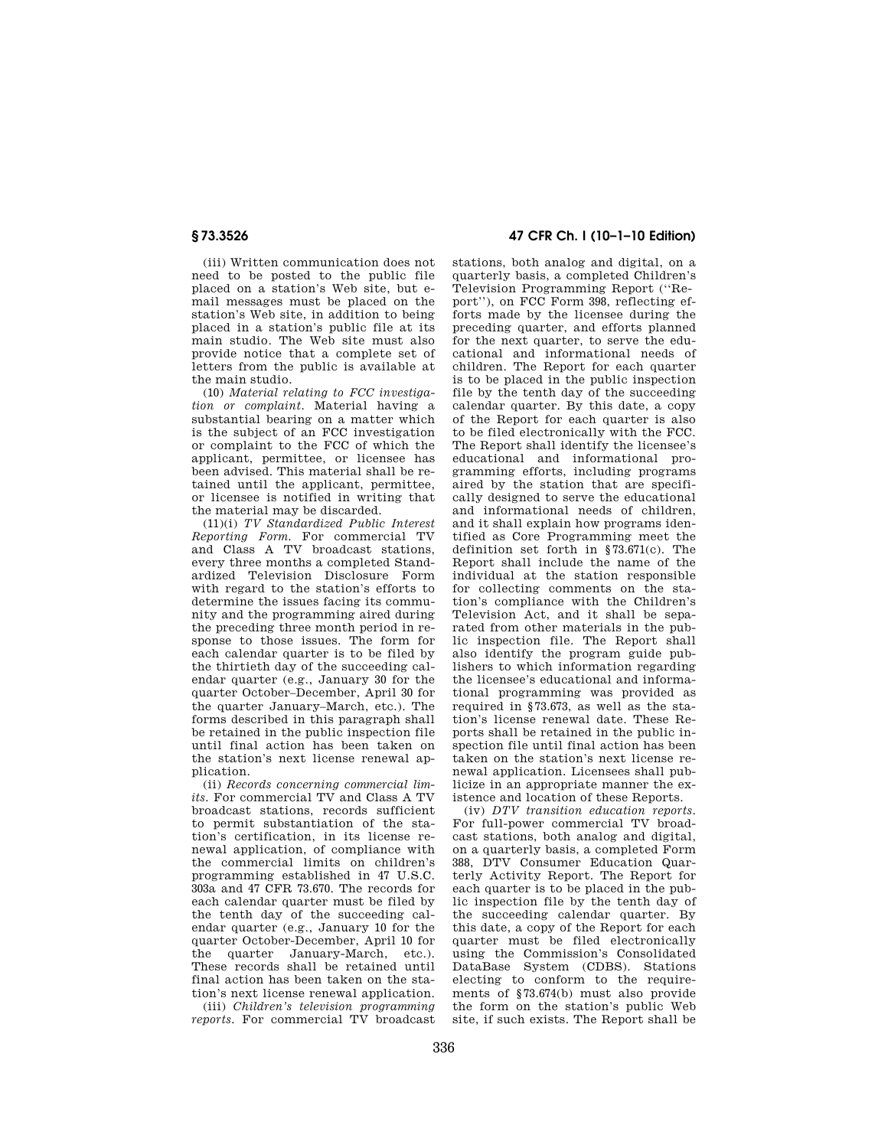(iii) Written communication does not need to be posted to the public file placed on a station's Web site, but email messages must be placed on the station's Web site, in addition to being placed in a station's public file at its main studio. The Web site must also provide notice that a complete set of letters from the public is available at the main studio.

(10) *Material relating to FCC investigation or complaint.* Material having a substantial bearing on a matter which is the subject of an FCC investigation or complaint to the FCC of which the applicant, permittee, or licensee has been advised. This material shall be retained until the applicant, permittee, or licensee is notified in writing that the material may be discarded.

(11)(i) *TV Standardized Public Interest Reporting Form*. For commercial TV and Class A TV broadcast stations, every three months a completed Standardized Television Disclosure Form with regard to the station's efforts to determine the issues facing its community and the programming aired during the preceding three month period in response to those issues. The form for each calendar quarter is to be filed by the thirtieth day of the succeeding calendar quarter (e.g., January 30 for the quarter October–December, April 30 for the quarter January–March, etc.). The forms described in this paragraph shall be retained in the public inspection file until final action has been taken on the station's next license renewal application.

(ii) *Records concerning commercial lim* $its.$  For commercial TV and Class A TV broadcast stations, records sufficient to permit substantiation of the station's certification, in its license renewal application, of compliance with the commercial limits on children's programming established in 47 U.S.C. 303a and 47 CFR 73.670. The records for each calendar quarter must be filed by the tenth day of the succeeding calendar quarter (e.g., January 10 for the quarter October-December, April 10 for the quarter January-March, etc.). These records shall be retained until final action has been taken on the station's next license renewal application.

(iii) *Children's television programming reports.* For commercial TV broadcast

# **§ 73.3526 47 CFR Ch. I (10–1–10 Edition)**

stations, both analog and digital, on a quarterly basis, a completed Children's Television Programming Report (''Report''), on FCC Form 398, reflecting efforts made by the licensee during the preceding quarter, and efforts planned for the next quarter, to serve the educational and informational needs of children. The Report for each quarter is to be placed in the public inspection file by the tenth day of the succeeding calendar quarter. By this date, a copy of the Report for each quarter is also to be filed electronically with the FCC. The Report shall identify the licensee's educational and informational programming efforts, including programs aired by the station that are specifically designed to serve the educational and informational needs of children and it shall explain how programs identified as Core Programming meet the definition set forth in §73.671(c). The Report shall include the name of the individual at the station responsible for collecting comments on the station's compliance with the Children's Television Act, and it shall be separated from other materials in the public inspection file. The Report shall also identify the program guide publishers to which information regarding the licensee's educational and informational programming was provided as required in §73.673, as well as the station's license renewal date. These Reports shall be retained in the public inspection file until final action has been taken on the station's next license renewal application. Licensees shall publicize in an appropriate manner the existence and location of these Reports.

(iv) *DTV transition education reports*. For full-power commercial TV broadcast stations, both analog and digital, on a quarterly basis, a completed Form 388, DTV Consumer Education Quarterly Activity Report. The Report for each quarter is to be placed in the public inspection file by the tenth day of the succeeding calendar quarter. By this date, a copy of the Report for each quarter must be filed electronically using the Commission's Consolidated DataBase System (CDBS). Stations electing to conform to the requirements of §73.674(b) must also provide the form on the station's public Web site, if such exists. The Report shall be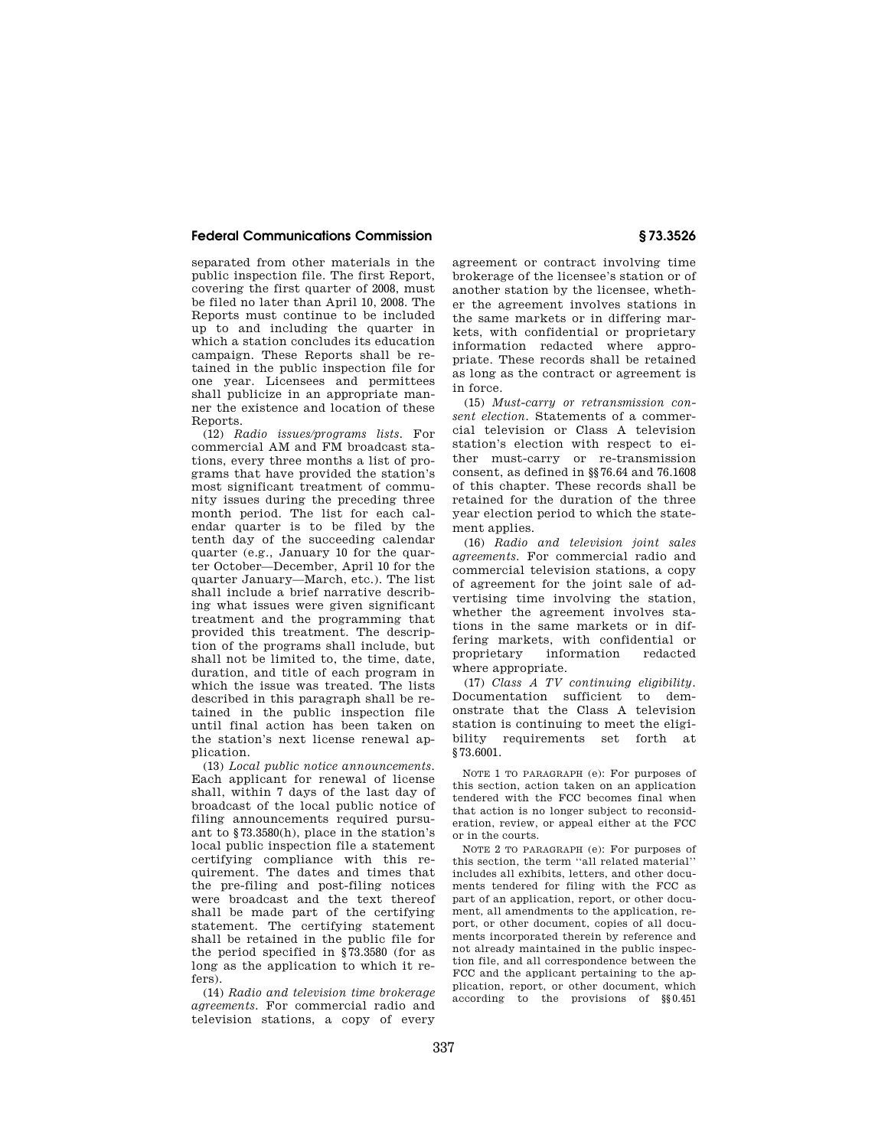## **Federal Communications Commission § 73.3526**

separated from other materials in the public inspection file. The first Report, covering the first quarter of 2008, must be filed no later than April 10, 2008. The Reports must continue to be included up to and including the quarter in which a station concludes its education campaign. These Reports shall be retained in the public inspection file for one year. Licensees and permittees shall publicize in an appropriate manner the existence and location of these Reports.

(12) *Radio issues/programs lists.* For commercial AM and FM broadcast stations, every three months a list of programs that have provided the station's most significant treatment of community issues during the preceding three month period. The list for each calendar quarter is to be filed by the tenth day of the succeeding calendar quarter (e.g., January 10 for the quarter October—December, April 10 for the quarter January—March, etc.). The list shall include a brief narrative describing what issues were given significant treatment and the programming that provided this treatment. The description of the programs shall include, but shall not be limited to, the time, date, duration, and title of each program in which the issue was treated. The lists described in this paragraph shall be retained in the public inspection file until final action has been taken on the station's next license renewal application.

(13) *Local public notice announcements.*  Each applicant for renewal of license shall, within 7 days of the last day of broadcast of the local public notice of filing announcements required pursuant to §73.3580(h), place in the station's local public inspection file a statement certifying compliance with this requirement. The dates and times that the pre-filing and post-filing notices were broadcast and the text thereof shall be made part of the certifying statement. The certifying statement shall be retained in the public file for the period specified in §73.3580 (for as long as the application to which it refers).

(14) *Radio and television time brokerage agreements.* For commercial radio and television stations, a copy of every agreement or contract involving time brokerage of the licensee's station or of another station by the licensee, whether the agreement involves stations in the same markets or in differing markets, with confidential or proprietary information redacted where appropriate. These records shall be retained as long as the contract or agreement is in force.

(15) *Must-carry or retransmission consent election.* Statements of a commercial television or Class A television station's election with respect to either must-carry or re-transmission consent, as defined in §§76.64 and 76.1608 of this chapter. These records shall be retained for the duration of the three year election period to which the statement applies.

(16) *Radio and television joint sales agreements.* For commercial radio and commercial television stations, a copy of agreement for the joint sale of advertising time involving the station, whether the agreement involves stations in the same markets or in differing markets, with confidential or proprietary information redacted where appropriate.

(17) *Class A TV continuing eligibility.*  Documentation sufficient to demonstrate that the Class A television station is continuing to meet the eligibility requirements set forth at §73.6001.

NOTE 1 TO PARAGRAPH (e): For purposes of this section, action taken on an application tendered with the FCC becomes final when that action is no longer subject to reconsideration, review, or appeal either at the FCC or in the courts.

NOTE 2 TO PARAGRAPH (e): For purposes of this section, the term ''all related material'' includes all exhibits, letters, and other documents tendered for filing with the FCC as part of an application, report, or other document, all amendments to the application, report, or other document, copies of all documents incorporated therein by reference and not already maintained in the public inspection file, and all correspondence between the FCC and the applicant pertaining to the application, report, or other document, which according to the provisions of §§0.451